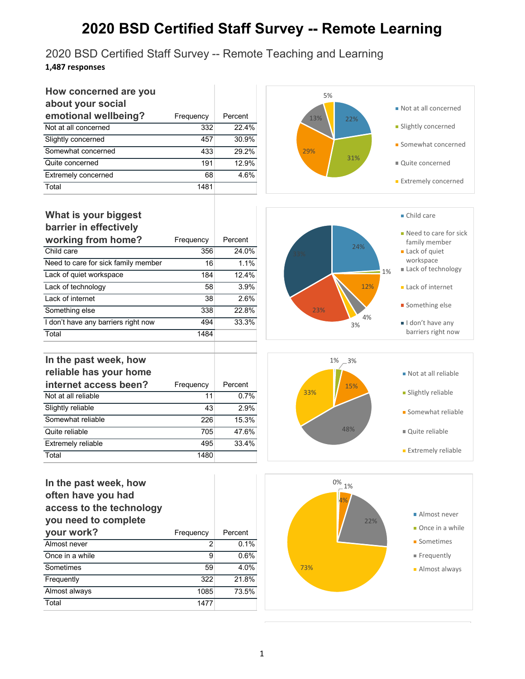## **2020 BSD Certified Staff Survey -- Remote Learning**

2020 BSD Certified Staff Survey -- Remote Teaching and Learning **1,487 responses**

| How concerned are you      |           |         |
|----------------------------|-----------|---------|
| about your social          |           |         |
| emotional wellbeing?       | Frequency | Percent |
| Not at all concerned       | 332       | 22.4%   |
| Slightly concerned         | 457       | 30.9%   |
| Somewhat concerned         | 433       | 29.2%   |
| Quite concerned            | 191       | 12.9%   |
| <b>Extremely concerned</b> | 68        | 4.6%    |
| Total                      | 1481      |         |



#### **What is your biggest barrier in effectively**

**In the past week, how reliable has your home** 

| <b>DAILIGE III GHECHAGIA</b>        |           |         |
|-------------------------------------|-----------|---------|
| working from home?                  | Frequency | Percent |
| Child care                          | 356       | 24.0%   |
| Need to care for sick family member | 16        | 1.1%    |
| Lack of quiet workspace             | 184       | 12.4%   |
| Lack of technology                  | 58        | 3.9%    |
| Lack of internet                    | 38        | 2.6%    |
| Something else                      | 338       | 22.8%   |
| I don't have any barriers right now | 494       | 33.3%   |
| Total                               | 1484      |         |

**internet access been?** Frequency Percent Not at all reliable 11 0.7% Slightly reliable 43 2.9% Somewhat reliable 226 15.3% Quite reliable 705 47.6% Extremely reliable 495 495 33.4%







### **In the past week, how often have you had access to the technology you need to complete**

Total 1480

| your work?      | Frequency | Percent |
|-----------------|-----------|---------|
| Almost never    |           | 0.1%    |
| Once in a while | 9         | 0.6%    |
| Sometimes       | 59        | 4.0%    |
| Frequently      | 322       | 21.8%   |
| Almost always   | 1085      | 73.5%   |
| Total           | 1477      |         |
|                 |           |         |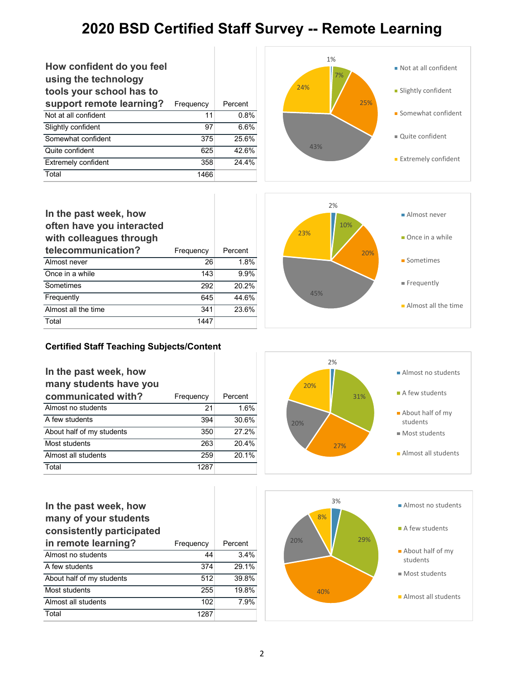## **2020 BSD Certified Staff Survey -- Remote Learning**

| How confident do you feel<br>using the technology<br>tools your school has to |           |         |
|-------------------------------------------------------------------------------|-----------|---------|
| support remote learning?                                                      | Frequency | Percent |
| Not at all confident                                                          | 11        | 0.8%    |
| Slightly confident                                                            | 97        | 6.6%    |
| Somewhat confident                                                            | 375       | 25.6%   |
| Quite confident                                                               | 625       | 42.6%   |
| Extremely confident                                                           | 358       | 24.4%   |
| Total                                                                         | 1466      |         |



#### **In the past week, how often have you interacted with colleagues through telecommunication?** Frequency Percent Almost never 26 26 1.8% Once in a while 143 9.9% Sometimes 292 20.2% Frequently 645 44.6% Almost all the time 341 23.6% Total 1447



#### **Certified Staff Teaching Subjects/Content**

| In the past week, how<br>many students have you |           |         |
|-------------------------------------------------|-----------|---------|
| communicated with?                              | Frequency | Percent |
| Almost no students                              | 21        | 1.6%    |
| A few students                                  | 394       | 30.6%   |
| About half of my students                       | 350       | 27.2%   |
| Most students                                   | 263       | 20.4%   |
| Almost all students                             | 259       | 20.1%   |
| Total                                           | 1287      |         |



| In the past week, how<br>many of your students<br>consistently participated |           |         |
|-----------------------------------------------------------------------------|-----------|---------|
| in remote learning?                                                         | Frequency | Percent |
| Almost no students                                                          | 44        | 3.4%    |
| A few students                                                              | 374       | 29.1%   |
| About half of my students                                                   | 512       | 39.8%   |
| Most students                                                               | 255       | 19.8%   |
| Almost all students                                                         | 102       | 7.9%    |
| Total                                                                       | 1287      |         |

I